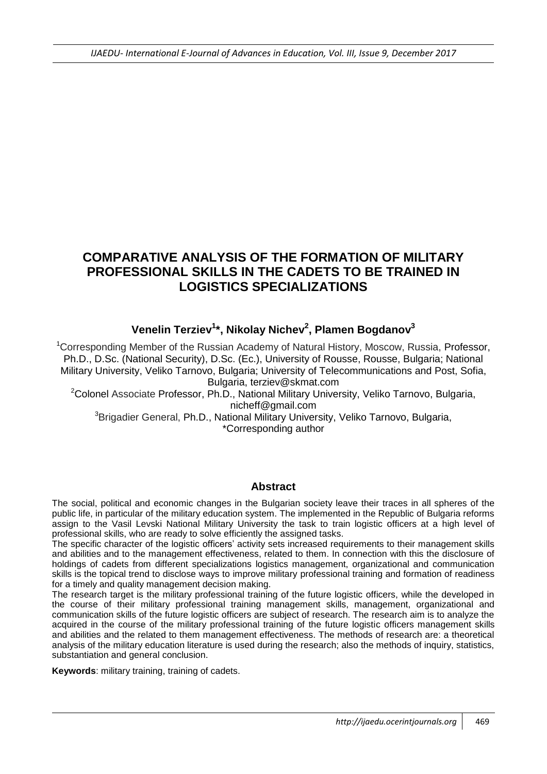# **COMPARATIVE ANALYSIS OF THE FORMATION OF MILITARY PROFESSIONAL SKILLS IN THE CADETS TO BE TRAINED IN LOGISTICS SPECIALIZATIONS**

## **Venelin Terziev<sup>1</sup> \*, Nikolay Nichev<sup>2</sup> , Plamen Bogdanov<sup>3</sup>**

<sup>1</sup>Corresponding Member of the Russian Academy of Natural History, Moscow, Russia, Professor, Ph.D., D.Sc. (National Security), D.Sc. (Ec.), University of Rousse, Rousse, Bulgaria; National Military University, Veliko Tarnovo, Bulgaria; University of Telecommunications and Post, Sofia, Bulgaria, terziev@skmat.com

<sup>2</sup>Colonel Associate Professor, Ph.D., National Military University, Veliko Tarnovo, Bulgaria, [nicheff@gmail.com](mailto:nicheff@gmail.com)

<sup>3</sup>Brigadier General, Ph.D., National Military University, Veliko Tarnovo, Bulgaria, \*Corresponding author

#### **Abstract**

The social, political and economic changes in the Bulgarian society leave their traces in all spheres of the public life, in particular of the military education system. The implemented in the Republic of Bulgaria reforms assign to the Vasil Levski National Military University the task to train logistic officers at a high level of professional skills, who are ready to solve efficiently the assigned tasks.

The specific character of the logistic officers' activity sets increased requirements to their management skills and abilities and to the management effectiveness, related to them. In connection with this the disclosure of holdings of cadets from different specializations logistics management, organizational and communication skills is the topical trend to disclose ways to improve military professional training and formation of readiness for a timely and quality management decision making.

The research target is the military professional training of the future logistic officers, while the developed in the course of their military professional training management skills, management, organizational and communication skills of the future logistic officers are subject of research. The research aim is to analyze the acquired in the course of the military professional training of the future logistic officers management skills and abilities and the related to them management effectiveness. The methods of research are: a theoretical analysis of the military education literature is used during the research; also the methods of inquiry, statistics, substantiation and general conclusion.

**Keywords**: military training, training of cadets.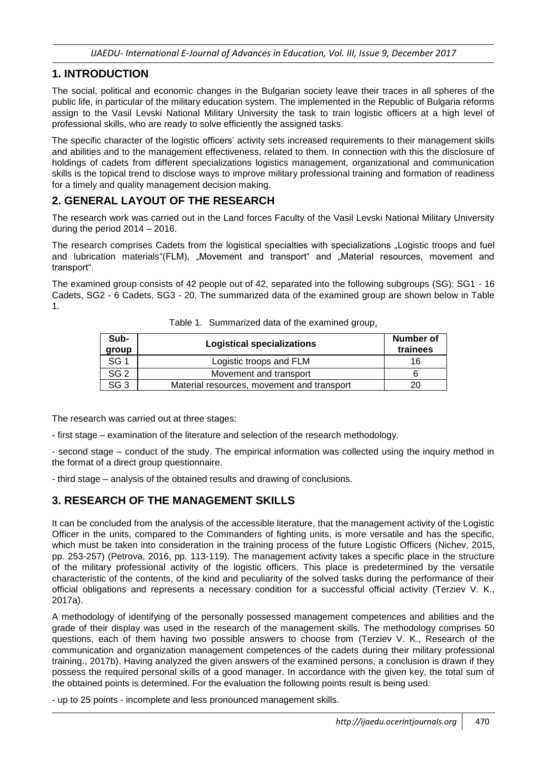#### **1. INTRODUCTION**

The social, political and economic changes in the Bulgarian society leave their traces in all spheres of the public life, in particular of the military education system. The implemented in the Republic of Bulgaria reforms assign to the Vasil Levski National Military University the task to train logistic officers at a high level of professional skills, who are ready to solve efficiently the assigned tasks.

The specific character of the logistic officers' activity sets increased requirements to their management skills and abilities and to the management effectiveness, related to them. In connection with this the disclosure of holdings of cadets from different specializations logistics management, organizational and communication skills is the topical trend to disclose ways to improve military professional training and formation of readiness for a timely and quality management decision making.

#### **2. GENERAL LAYOUT OF THE RESEARCH**

The research work was carried out in the Land forces Faculty of the Vasil Levski National Military University during the period 2014 – 2016.

The research comprises Cadets from the logistical specialties with specializations "Logistic troops and fuel and lubrication materials"(FLM), "Movement and transport" and "Material resources, movement and transport".

The examined group consists of 42 people out of 42, separated into the following subgroups (SG): SG1 - 16 Cadets, SG2 - 6 Cadets, SG3 - 20. The summarized data of the examined group are shown below in Table 1.

| Sub-<br>group   | <b>Logistical specializations</b>          | Number of<br>trainees |
|-----------------|--------------------------------------------|-----------------------|
| SG <sub>1</sub> | Logistic troops and FLM                    | 16                    |
| SG <sub>2</sub> | Movement and transport                     |                       |
| SG <sub>3</sub> | Material resources, movement and transport | 20                    |

Table 1. Summarized data of the examined group.

The research was carried out at three stages:

- first stage – examination of the literature and selection of the research methodology.

- second stage – conduct of the study. The empirical information was collected using the inquiry method in the format of a direct group questionnaire.

- third stage – analysis of the obtained results and drawing of conclusions.

## **3. RESEARCH OF THE MANAGEMENT SKILLS**

It can be concluded from the analysis of the accessible literature, that the management activity of the Logistic Officer in the units, compared to the Commanders of fighting units, is more versatile and has the specific, which must be taken into consideration in the training process of the future Logistic Officers (Nichev, 2015, pp. 253-257) (Petrova, 2016, pp. 113-119). The management activity takes a specific place in the structure of the military professional activity of the logistic officers. This place is predetermined by the versatile characteristic of the contents, of the kind and peculiarity of the solved tasks during the performance of their official obligations and represents a necessary condition for a successful official activity (Terziev V. K., 2017a).

A methodology of identifying of the personally possessed management competences and abilities and the grade of their display was used in the research of the management skills. The methodology comprises 50 questions, each of them having two possible answers to choose from (Terziev V. K., Research of the communication and organization management competences of the cadets during their military professional training., 2017b). Having analyzed the given answers of the examined persons, a conclusion is drawn if they possess the required personal skills of a good manager. In accordance with the given key, the total sum of the obtained points is determined. For the evaluation the following points result is being used:

- up to 25 points - incomplete and less pronounced management skills.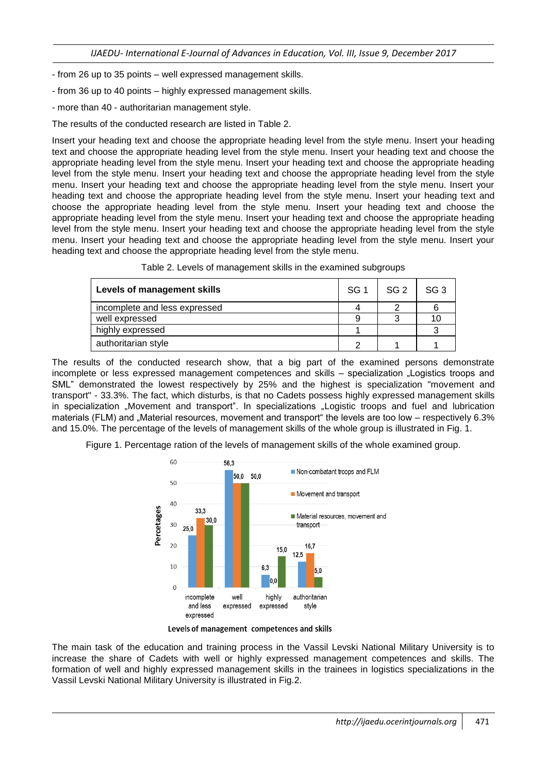- from 26 up to 35 points – well expressed management skills.

- from 36 up to 40 points – highly expressed management skills.

- more than 40 - authoritarian management style.

The results of the conducted research are listed in Table 2.

Insert your heading text and choose the appropriate heading level from the style menu. Insert your heading text and choose the appropriate heading level from the style menu. Insert your heading text and choose the appropriate heading level from the style menu. Insert your heading text and choose the appropriate heading level from the style menu. Insert your heading text and choose the appropriate heading level from the style menu. Insert your heading text and choose the appropriate heading level from the style menu. Insert your heading text and choose the appropriate heading level from the style menu. Insert your heading text and choose the appropriate heading level from the style menu. Insert your heading text and choose the appropriate heading level from the style menu. Insert your heading text and choose the appropriate heading level from the style menu. Insert your heading text and choose the appropriate heading level from the style menu. Insert your heading text and choose the appropriate heading level from the style menu. Insert your heading text and choose the appropriate heading level from the style menu.

| Levels of management skills   |  | SG <sub>2</sub> | SG <sub>3</sub> |
|-------------------------------|--|-----------------|-----------------|
| incomplete and less expressed |  |                 |                 |
| well expressed                |  | ◠               |                 |
| highly expressed              |  |                 |                 |
| authoritarian style           |  |                 |                 |

The results of the conducted research show, that a big part of the examined persons demonstrate incomplete or less expressed management competences and skills – specialization "Logistics troops and SML" demonstrated the lowest respectively by 25% and the highest is specialization "movement and transport" - 33.3%. The fact, which disturbs, is that no Cadets possess highly expressed management skills in specialization "Movement and transport". In specializations "Logistic troops and fuel and lubrication materials (FLM) and "Material resources, movement and transport" the levels are too low – respectively 6.3% and 15.0%. The percentage of the levels of management skills of the whole group is illustrated in Fig. 1.

Figure 1. Percentage ration of the levels of management skills of the whole examined group.



Levels of management competences and skills

The main task of the education and training process in the Vassil Levski National Military University is to increase the share of Cadets with well or highly expressed management competences and skills. The formation of well and highly expressed management skills in the trainees in logistics specializations in the Vassil Levski National Military University is illustrated in Fig.2.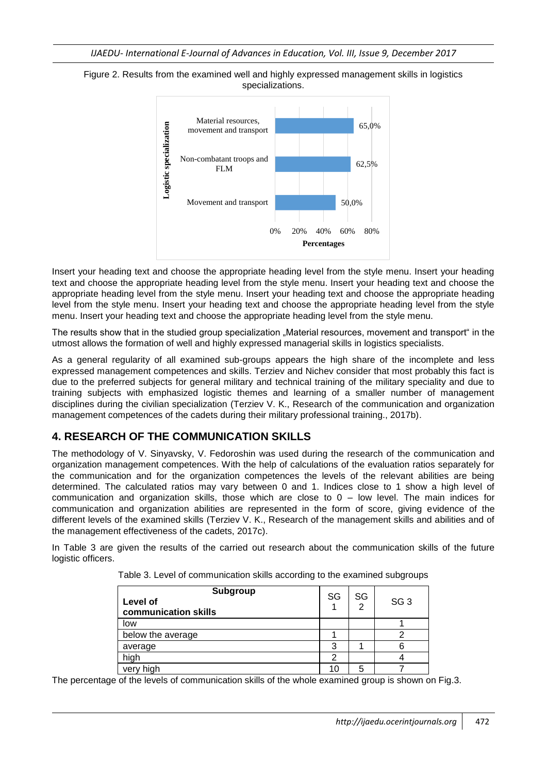



Insert your heading text and choose the appropriate heading level from the style menu. Insert your heading text and choose the appropriate heading level from the style menu. Insert your heading text and choose the appropriate heading level from the style menu. Insert your heading text and choose the appropriate heading level from the style menu. Insert your heading text and choose the appropriate heading level from the style menu. Insert your heading text and choose the appropriate heading level from the style menu.

The results show that in the studied group specialization "Material resources, movement and transport" in the utmost allows the formation of well and highly expressed managerial skills in logistics specialists.

As a general regularity of all examined sub-groups appears the high share of the incomplete and less expressed management competences and skills. Terziev and Nichev consider that most probably this fact is due to the preferred subjects for general military and technical training of the military speciality and due to training subjects with emphasized logistic themes and learning of a smaller number of management disciplines during the civilian specialization (Terziev V. K., Research of the communication and organization management competences of the cadets during their military professional training., 2017b).

## **4. RESEARCH OF THE COMMUNICATION SKILLS**

The methodology of V. Sinyavsky, V. Fedoroshin was used during the research of the communication and organization management competences. With the help of calculations of the evaluation ratios separately for the communication and for the organization competences the levels of the relevant abilities are being determined. The calculated ratios may vary between 0 and 1. Indices close to 1 show a high level of communication and organization skills, those which are close to  $0 -$  low level. The main indices for communication and organization abilities are represented in the form of score, giving evidence of the different levels of the examined skills (Terziev V. K., Research of the management skills and abilities and of the management effectiveness of the cadets, 2017c).

In Table 3 are given the results of the carried out research about the communication skills of the future logistic officers.

| Subgroup<br>Level of<br>communication skills | SG | SG<br>2 | SG <sub>3</sub> |
|----------------------------------------------|----|---------|-----------------|
| low                                          |    |         |                 |
| below the average                            |    |         |                 |
| average                                      |    |         |                 |
| high                                         | 2  |         |                 |
| high<br>very                                 | 10 | 5       |                 |

Table 3. Level of communication skills according to the examined subgroups

The percentage of the levels of communication skills of the whole examined group is shown on Fig.3.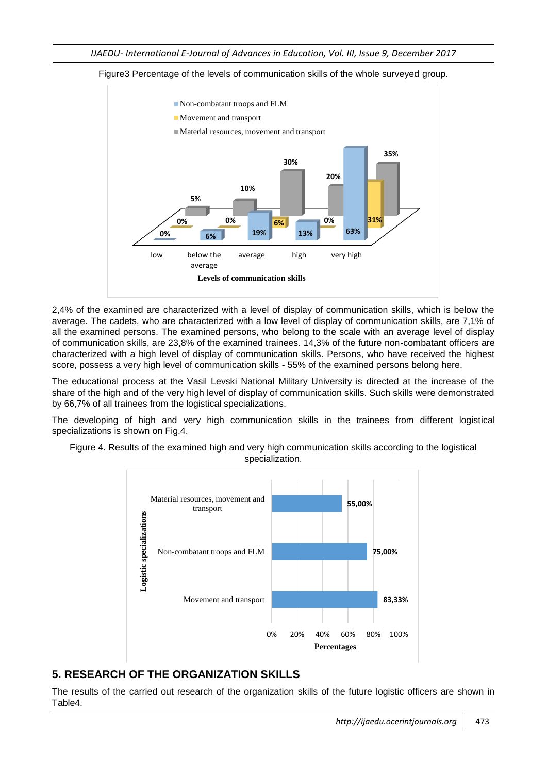

Figure3 Percentage of the levels of communication skills of the whole surveyed group.

2,4% of the examined are characterized with a level of display of communication skills, which is below the average. The cadets, who are characterized with a low level of display of communication skills, are 7,1% of all the examined persons. The examined persons, who belong to the scale with an average level of display of communication skills, are 23,8% of the examined trainees. 14,3% of the future non-combatant officers are characterized with a high level of display of communication skills. Persons, who have received the highest score, possess a very high level of communication skills - 55% of the examined persons belong here.

The educational process at the Vasil Levski National Military University is directed at the increase of the share of the high and of the very high level of display of communication skills. Such skills were demonstrated by 66,7% of all trainees from the logistical specializations.

The developing of high and very high communication skills in the trainees from different logistical specializations is shown on Fig.4.

Figure 4. Results of the examined high and very high communication skills according to the logistical specialization.



## **5. RESEARCH OF THE ORGANIZATION SKILLS**

The results of the carried out research of the organization skills of the future logistic officers are shown in Table4.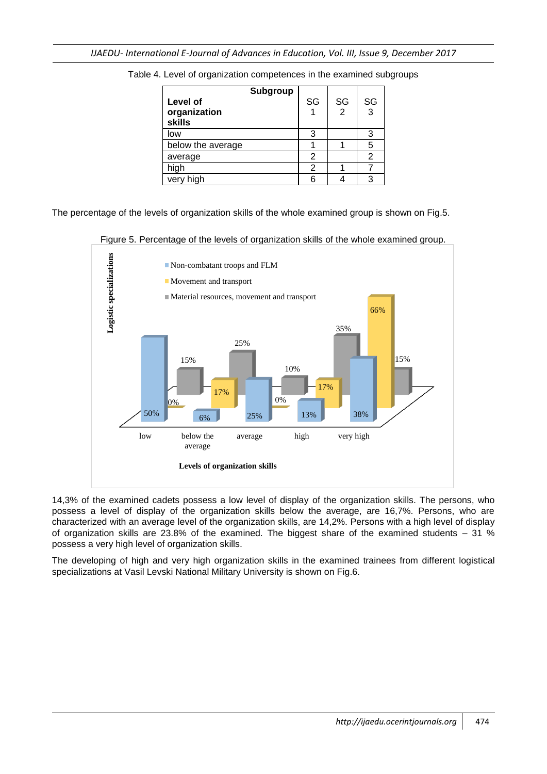| Subgroup<br>Level of<br>organization<br><b>skills</b> | SG | SG<br>$\overline{2}$ | SG<br>3 |
|-------------------------------------------------------|----|----------------------|---------|
| low                                                   | 3  |                      | 3       |
| below the average                                     |    |                      | 5       |
| average                                               | 2  |                      | 2       |
| high                                                  | 2  |                      |         |
| very high                                             | հ  |                      |         |

Table 4. Level of organization competences in the examined subgroups

The percentage of the levels of organization skills of the whole examined group is shown on Fig.5.



Figure 5. Percentage of the levels of organization skills of the whole examined group.

14,3% of the examined cadets possess a low level of display of the organization skills. The persons, who possess a level of display of the organization skills below the average, are 16,7%. Persons, who are characterized with an average level of the organization skills, are 14,2%. Persons with a high level of display of organization skills are 23.8% of the examined. The biggest share of the examined students – 31 % possess a very high level of organization skills.

The developing of high and very high organization skills in the examined trainees from different logistical specializations at Vasil Levski National Military University is shown on Fig.6.